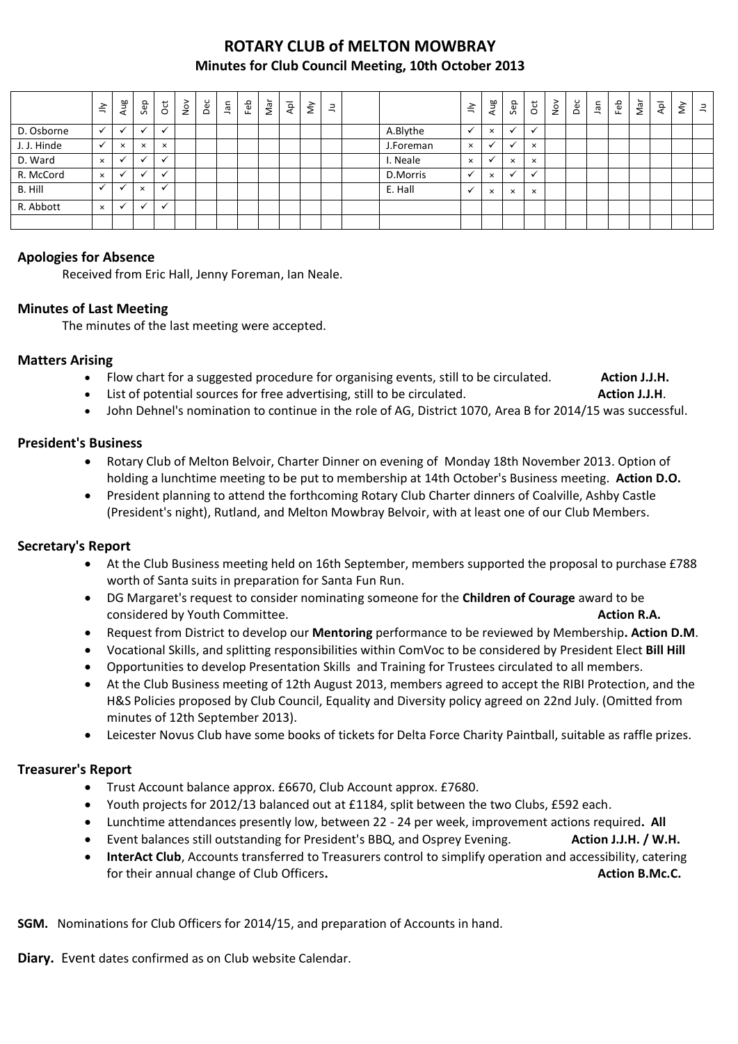# **ROTARY CLUB of MELTON MOWBRAY Minutes for Club Council Meeting, 10th October 2013**

|             | $\leq$                   | Aug          | Sep                      | $\overline{5}$ | $\frac{8}{2}$ | Dec | Jan | Feb | Nar | $\bar{A}$ | $\check{\varepsilon}$ | $\exists$ |           | $\leq$       | Aug                      | Sep      | $\overline{c}$ | $\sum_{i=1}^{\infty}$ | Dec | lan | Feb | Nar | $\bar{A}$ | $\check{\varepsilon}$ | $\equiv$ |
|-------------|--------------------------|--------------|--------------------------|----------------|---------------|-----|-----|-----|-----|-----------|-----------------------|-----------|-----------|--------------|--------------------------|----------|----------------|-----------------------|-----|-----|-----|-----|-----------|-----------------------|----------|
| D. Osborne  | $\checkmark$             | ◡            | $\overline{\phantom{a}}$ | $\check{ }$    |               |     |     |     |     |           |                       |           | A.Blythe  |              | $\times$                 | ✓        |                |                       |     |     |     |     |           |                       |          |
| J. J. Hinde | $\checkmark$             | $\times$     | $\times$                 | $\times$       |               |     |     |     |     |           |                       |           | J.Foreman | $\times$     |                          | $\cdot$  | $\times$       |                       |     |     |     |     |           |                       |          |
| D. Ward     | $\times$                 | $\checkmark$ | $\overline{\phantom{a}}$ | $\check{ }$    |               |     |     |     |     |           |                       |           | I. Neale  | $\times$     | $\overline{\phantom{a}}$ | $\times$ | $\times$       |                       |     |     |     |     |           |                       |          |
| R. McCord   | $\times$                 |              | $\overline{\phantom{a}}$ | $\check{ }$    |               |     |     |     |     |           |                       |           | D.Morris  |              | $\times$                 | ✓        |                |                       |     |     |     |     |           |                       |          |
| B. Hill     | $\overline{\phantom{a}}$ |              | $\times$                 |                |               |     |     |     |     |           |                       |           | E. Hall   | $\checkmark$ | $\times$                 | $\times$ | $\times$       |                       |     |     |     |     |           |                       |          |
| R. Abbott   | $\times$                 | $\checkmark$ | $\ddot{\phantom{0}}$     | $\check{ }$    |               |     |     |     |     |           |                       |           |           |              |                          |          |                |                       |     |     |     |     |           |                       |          |
|             |                          |              |                          |                |               |     |     |     |     |           |                       |           |           |              |                          |          |                |                       |     |     |     |     |           |                       |          |

### **Apologies for Absence**

Received from Eric Hall, Jenny Foreman, Ian Neale.

### **Minutes of Last Meeting**

The minutes of the last meeting were accepted.

#### **Matters Arising**

- Flow chart for a suggested procedure for organising events, still to be circulated. **Action J.J.H.**
- List of potential sources for free advertising, still to be circulated. **Action J.J.H.** Action J.J.H.
- John Dehnel's nomination to continue in the role of AG, District 1070, Area B for 2014/15 was successful.

#### **President's Business**

- Rotary Club of Melton Belvoir, Charter Dinner on evening of Monday 18th November 2013. Option of holding a lunchtime meeting to be put to membership at 14th October's Business meeting. **Action D.O.**
- President planning to attend the forthcoming Rotary Club Charter dinners of Coalville, Ashby Castle (President's night), Rutland, and Melton Mowbray Belvoir, with at least one of our Club Members.

#### **Secretary's Report**

- At the Club Business meeting held on 16th September, members supported the proposal to purchase £788 worth of Santa suits in preparation for Santa Fun Run.
- DG Margaret's request to consider nominating someone for the **Children of Courage** award to be considered by Youth Committee. **Action R.A. Action R.A. Action R.A.**
- Request from District to develop our **Mentoring** performance to be reviewed by Membership**. Action D.M**.
- Vocational Skills, and splitting responsibilities within ComVoc to be considered by President Elect **Bill Hill**
- Opportunities to develop Presentation Skills and Training for Trustees circulated to all members.
- At the Club Business meeting of 12th August 2013, members agreed to accept the RIBI Protection, and the H&S Policies proposed by Club Council, Equality and Diversity policy agreed on 22nd July. (Omitted from minutes of 12th September 2013).
- Leicester Novus Club have some books of tickets for Delta Force Charity Paintball, suitable as raffle prizes.

### **Treasurer's Report**

- Trust Account balance approx. £6670, Club Account approx. £7680.
- Youth projects for 2012/13 balanced out at £1184, split between the two Clubs, £592 each.
- Lunchtime attendances presently low, between 22 24 per week, improvement actions required**. All**
- Event balances still outstanding for President's BBQ, and Osprey Evening. **Action J.J.H. / W.H.**
- **InterAct Club**, Accounts transferred to Treasurers control to simplify operation and accessibility, catering for their annual change of Club Officers. **Action B.Mc.C. Action B.Mc.C. Action B.Mc.C.**

**SGM.** Nominations for Club Officers for 2014/15, and preparation of Accounts in hand.

**Diary.** Event dates confirmed as on Club website Calendar.